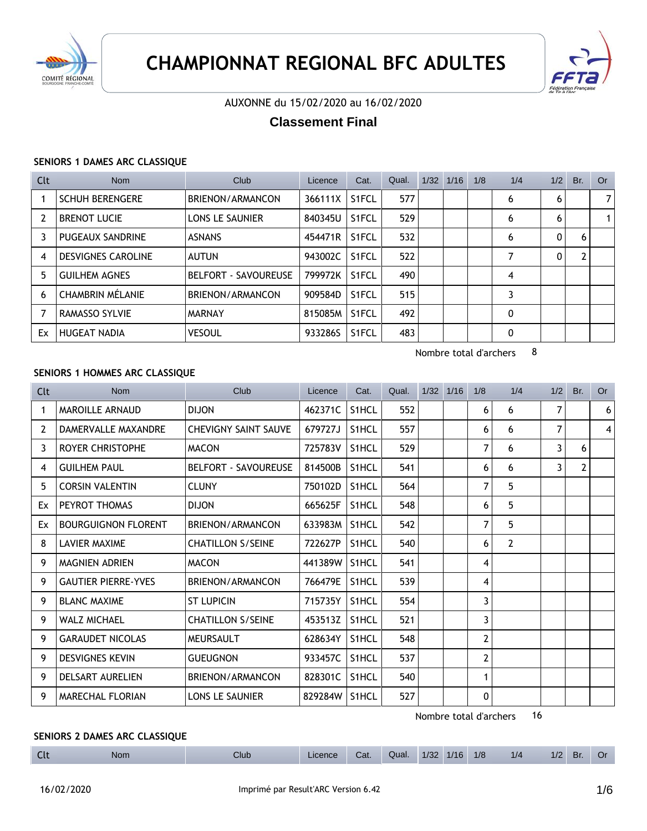



### AUXONNE du 15/02/2020 au 16/02/2020

# **Classement Final**

#### **SENIORS 1 DAMES ARC CLASSIQUE**

| Clt            | Nom                       | Club                        | Licence | Cat.               | Qual. | 1/32 | 1/16 | 1/8 | 1/4 | 1/2 | Br. | Or . |
|----------------|---------------------------|-----------------------------|---------|--------------------|-------|------|------|-----|-----|-----|-----|------|
|                | <b>SCHUH BERENGERE</b>    | BRIENON/ARMANCON            | 366111X | S <sub>1</sub> FCL | 577   |      |      |     | 6   | 6   |     | 7    |
| $\overline{2}$ | <b>BRENOT LUCIE</b>       | LONS LE SAUNIER             | 840345U | S <sub>1</sub> FCL | 529   |      |      |     | 6   | 6   |     |      |
| 3              | <b>PUGEAUX SANDRINE</b>   | <b>ASNANS</b>               | 454471R | S <sub>1</sub> FCL | 532   |      |      |     | 6   | 0   | 6   |      |
| 4              | <b>DESVIGNES CAROLINE</b> | AUTUN                       | 943002C | S <sub>1</sub> FCL | 522   |      |      |     | 7   | 0   |     |      |
| 5              | <b>GUILHEM AGNES</b>      | <b>BELFORT - SAVOUREUSE</b> | 799972K | S <sub>1</sub> FCL | 490   |      |      |     | 4   |     |     |      |
| 6              | CHAMBRIN MÉLANIE          | BRIENON/ARMANCON            | 909584D | S <sub>1</sub> FCL | 515   |      |      |     | 3   |     |     |      |
| 7              | RAMASSO SYLVIE            | <b>MARNAY</b>               | 815085M | S <sub>1</sub> FCL | 492   |      |      |     | 0   |     |     |      |
| Ex             | <b>HUGEAT NADIA</b>       | <b>VESOUL</b>               | 933286S | S <sub>1</sub> FCL | 483   |      |      |     | 0   |     |     |      |

Nombre total d'archers 8

#### **SENIORS 1 HOMMES ARC CLASSIQUE**

| Clt            | <b>Nom</b>                 | Club                        | Licence | Cat.               | Qual. | 1/32 | 1/16 | 1/8            | 1/4            | 1/2 | Br. | <b>Or</b>      |
|----------------|----------------------------|-----------------------------|---------|--------------------|-------|------|------|----------------|----------------|-----|-----|----------------|
| 1              | <b>MAROILLE ARNAUD</b>     | <b>DIJON</b>                | 462371C | S1HCL              | 552   |      |      | 6              | 6              | 7   |     | 6 <sup>1</sup> |
| $\overline{2}$ | DAMERVALLE MAXANDRE        | <b>CHEVIGNY SAINT SAUVE</b> | 679727J | S1HCL              | 557   |      |      | 6              | 6              | 7   |     | $\vert$        |
| 3              | <b>ROYER CHRISTOPHE</b>    | <b>MACON</b>                | 725783V | S1HCL              | 529   |      |      | 7              | 6              | 3   | 6   |                |
| 4              | <b>GUILHEM PAUL</b>        | <b>BELFORT - SAVOUREUSE</b> | 814500B | S1HCL              | 541   |      |      | 6              | 6              | 3   | 2   |                |
| 5              | <b>CORSIN VALENTIN</b>     | <b>CLUNY</b>                | 750102D | S <sub>1</sub> HCL | 564   |      |      | 7              | 5              |     |     |                |
| Ex             | PEYROT THOMAS              | <b>DIJON</b>                | 665625F | S1HCL              | 548   |      |      | 6              | 5              |     |     |                |
| Ex             | <b>BOURGUIGNON FLORENT</b> | BRIENON/ARMANCON            | 633983M | S1HCL              | 542   |      |      | $\overline{7}$ | 5              |     |     |                |
| 8              | LAVIER MAXIME              | <b>CHATILLON S/SEINE</b>    | 722627P | S <sub>1</sub> HCL | 540   |      |      | 6              | $\overline{2}$ |     |     |                |
| 9              | <b>MAGNIEN ADRIEN</b>      | <b>MACON</b>                | 441389W | S1HCL              | 541   |      |      | 4              |                |     |     |                |
| 9              | <b>GAUTIER PIERRE-YVES</b> | BRIENON/ARMANCON            | 766479E | S <sub>1</sub> HCL | 539   |      |      | 4              |                |     |     |                |
| 9              | <b>BLANC MAXIME</b>        | <b>ST LUPICIN</b>           | 715735Y | S1HCL              | 554   |      |      | 3              |                |     |     |                |
| 9              | <b>WALZ MICHAEL</b>        | <b>CHATILLON S/SEINE</b>    | 453513Z | S1HCL              | 521   |      |      | 3              |                |     |     |                |
| 9              | <b>GARAUDET NICOLAS</b>    | <b>MEURSAULT</b>            | 628634Y | S1HCL              | 548   |      |      | 2              |                |     |     |                |
| 9              | <b>DESVIGNES KEVIN</b>     | <b>GUEUGNON</b>             | 933457C | S1HCL              | 537   |      |      | $\mathbf{2}$   |                |     |     |                |
| 9              | <b>DELSART AURELIEN</b>    | BRIENON/ARMANCON            | 828301C | S1HCL              | 540   |      |      | 1              |                |     |     |                |
| 9              | <b>MARECHAL FLORIAN</b>    | <b>LONS LE SAUNIER</b>      | 829284W | S1HCL              | 527   |      |      | $\mathbf{0}$   |                |     |     |                |

Nombre total d'archers 16

### **SENIORS 2 DAMES ARC CLASSIQUE**

| 1/16<br>1/8<br>1/4<br>1/32<br>$\mathbb{F}$<br>Br.<br>Club<br>Cat.<br>_icence<br>Nom<br>Qual.<br>,,<br>$\blacksquare$<br>$\sim$ $\sim$ |  |
|---------------------------------------------------------------------------------------------------------------------------------------|--|
|---------------------------------------------------------------------------------------------------------------------------------------|--|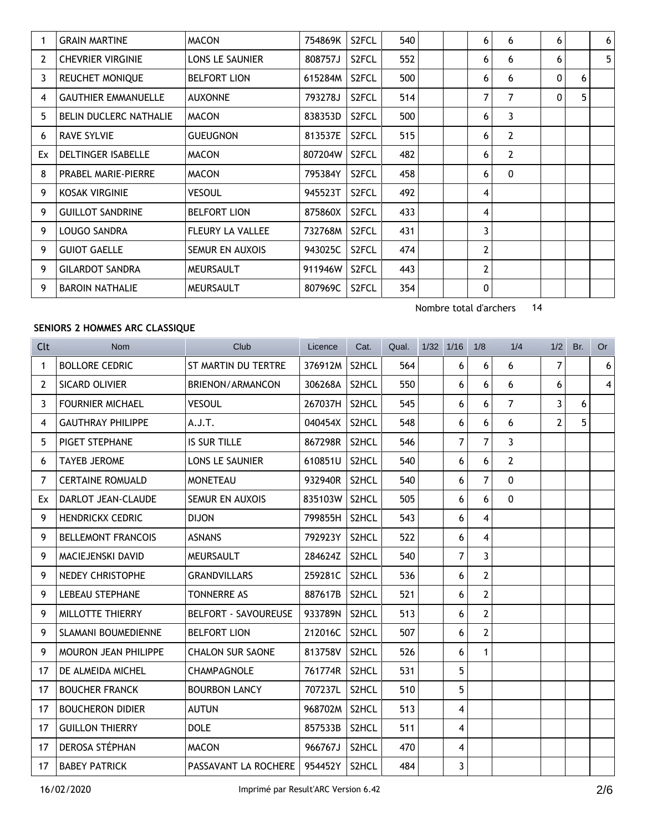|    | <b>GRAIN MARTINE</b>          | <b>MACON</b>            | 754869K | S2FCL              | 540 |  | 6            | 6              | 6 |   | 6 <sup>1</sup> |
|----|-------------------------------|-------------------------|---------|--------------------|-----|--|--------------|----------------|---|---|----------------|
| 2  | <b>CHEVRIER VIRGINIE</b>      | <b>LONS LE SAUNIER</b>  | 808757J | S <sub>2</sub> FCL | 552 |  | 6            | 6              | 6 |   | 5 <sup>1</sup> |
| 3  | <b>REUCHET MONIQUE</b>        | <b>BELFORT LION</b>     | 615284M | S <sub>2</sub> FCL | 500 |  | 6            | 6              | 0 | 6 |                |
| 4  | <b>GAUTHIER EMMANUELLE</b>    | <b>AUXONNE</b>          | 793278J | S <sub>2</sub> FCL | 514 |  | 7            | $\overline{7}$ | 0 | 5 |                |
| 5  | <b>BELIN DUCLERC NATHALIE</b> | <b>MACON</b>            | 838353D | S <sub>2</sub> FCL | 500 |  | 6            | 3              |   |   |                |
| 6  | <b>RAVE SYLVIE</b>            | <b>GUEUGNON</b>         | 813537E | S <sub>2</sub> FCL | 515 |  | 6            | 2              |   |   |                |
| Ex | <b>DELTINGER ISABELLE</b>     | <b>MACON</b>            | 807204W | S2FCL              | 482 |  | 6            | 2              |   |   |                |
| 8  | <b>PRABEL MARIE-PIERRE</b>    | <b>MACON</b>            | 795384Y | S2FCL              | 458 |  | 6            | 0              |   |   |                |
| 9  | <b>KOSAK VIRGINIE</b>         | <b>VESOUL</b>           | 945523T | S <sub>2</sub> FCL | 492 |  | 4            |                |   |   |                |
| 9  | <b>GUILLOT SANDRINE</b>       | <b>BELFORT LION</b>     | 875860X | S2FCL              | 433 |  | 4            |                |   |   |                |
| 9  | LOUGO SANDRA                  | <b>FLEURY LA VALLEE</b> | 732768M | S <sub>2</sub> FCL | 431 |  | 3            |                |   |   |                |
| 9  | <b>GUIOT GAELLE</b>           | SEMUR EN AUXOIS         | 943025C | S <sub>2</sub> FCL | 474 |  | 2            |                |   |   |                |
| 9  | <b>GILARDOT SANDRA</b>        | <b>MEURSAULT</b>        | 911946W | S2FCL              | 443 |  | 2            |                |   |   |                |
| 9  | <b>BAROIN NATHALIE</b>        | <b>MEURSAULT</b>        | 807969C | S <sub>2</sub> FCL | 354 |  | $\mathbf{0}$ |                |   |   |                |

#### **SENIORS 2 HOMMES ARC CLASSIQUE**

Licence Cat. Qual. 1/32 1/16 1/8 1/4 1/2 Br. Or Clt Nom Club 1 BOLLORE CEDRIC ST MARTIN DU TERTRE 376912M S2HCL 564 6 6 6 7 6 2 SICARD OLIVIER BRIENON/ARMANCON 306268A S2HCL 550 66 66 66 3 FOURNIER MICHAEL VESOUL 267037H S2HCL 545 6 6 7 3 6 4 GAUTHRAY PHILIPPE A.J.T. 1040454X S2HCL 548 6 6 6 2 5 5 PIGET STEPHANE IS SUR TILLE 867298R S2HCL 546 7 7 3 6 TAYEB JEROME LONS LE SAUNIER  $\begin{array}{|c|c|c|c|c|c|c|c|c|c|c|c|} \hline \text{6} & \text{6} & \text{6} & \text{2} \end{array}$ 7 CERTAINE ROMUALD MONETEAU 932940R S2HCL 540 6 7 0 Ex DARLOT JEAN-CLAUDE SEMUR EN AUXOIS 835103W S2HCL 505 66 6 9 HENDRICKX CEDRIC DIJON 799855H S2HCL 543 6 4 9 BELLEMONT FRANCOIS | ASNANS | 792923Y S2HCL | 522 | 6 4 9 MACIEJENSKI DAVID MEURSAULT 284624Z S2HCL 540 7 3 9 NEDEY CHRISTOPHE GRANDVILLARS 259281C S2HCL 536 6 2 9 LEBEAU STEPHANE TONNERRE AS 887617B S2HCL 521 6 2 9 MILLOTTE THIERRY BELFORT - SAVOUREUSE 933789N S2HCL 513 6 2 9 SLAMANI BOUMEDIENNE BELFORT LION 212016C S2HCL 507 6 2 9 MOURON JEAN PHILIPPE CHALON SUR SAONE 813758V S2HCL 526 6 1 17 DE ALMEIDA MICHEL CHAMPAGNOLE 761774R S2HCL 531 5 17 BOUCHER FRANCK BOURBON LANCY | 707237L S2HCL 510 | 5 17 BOUCHERON DIDIER AUTUN 968702M S2HCL 513 4 17 GUILLON THIERRY DOLE 857533B S2HCL 511 4 17 DEROSA STÉPHAN MACON 966767J S2HCL 470 4 17 BABEY PATRICK **PASSAVANT LA ROCHERE 954452Y S2HCL 484** 3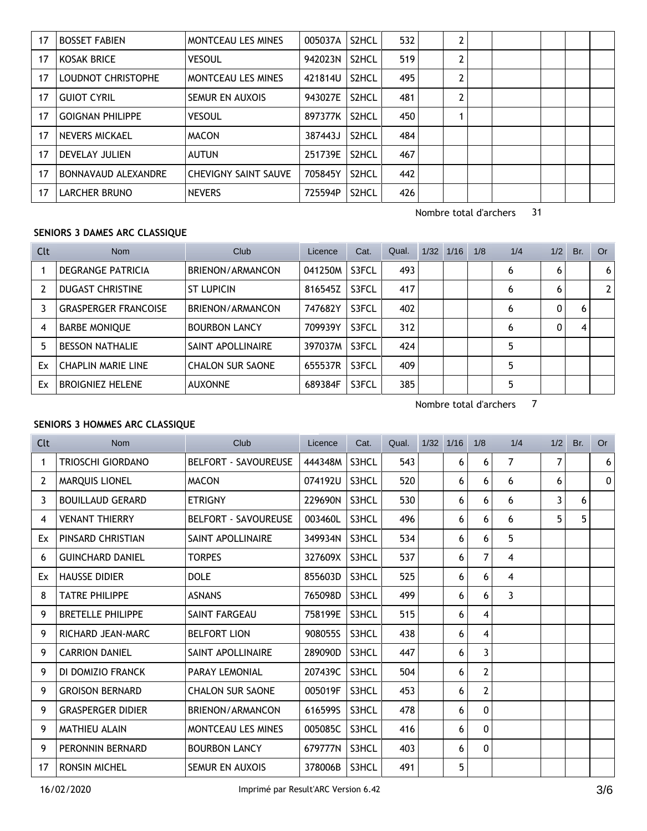| 17 | <b>BOSSET FABIEN</b>    | <b>MONTCEAU LES MINES</b>   | 005037A | S2HCL              | 532 | 2 |  |  |  |
|----|-------------------------|-----------------------------|---------|--------------------|-----|---|--|--|--|
| 17 | KOSAK BRICE             | <b>VESOUL</b>               | 942023N | S2HCL              | 519 | 2 |  |  |  |
| 17 | LOUDNOT CHRISTOPHE      | <b>MONTCEAU LES MINES</b>   | 421814U | S2HCL              | 495 | 2 |  |  |  |
| 17 | <b>GUIOT CYRIL</b>      | SEMUR EN AUXOIS             | 943027E | S2HCL              | 481 | 2 |  |  |  |
| 17 | <b>GOIGNAN PHILIPPE</b> | <b>VESOUL</b>               | 897377K | S2HCL              | 450 |   |  |  |  |
| 17 | NEVERS MICKAEL          | <b>MACON</b>                | 387443J | S <sub>2</sub> HCL | 484 |   |  |  |  |
| 17 | DEVELAY JULIEN          | <b>AUTUN</b>                | 251739E | S <sub>2</sub> HCL | 467 |   |  |  |  |
| 17 | BONNAVAUD ALEXANDRE     | <b>CHEVIGNY SAINT SAUVE</b> | 705845Y | S <sub>2</sub> HCL | 442 |   |  |  |  |
| 17 | LARCHER BRUNO           | <b>NEVERS</b>               | 725594P | S <sub>2</sub> HCL | 426 |   |  |  |  |

### **SENIORS 3 DAMES ARC CLASSIQUE**

| Clt | <b>Nom</b>                  | Club                    | Licence | Cat.  | Qual. | 1/32 | 1/16 | 1/8 | 1/4 | 1/2 | Br. | <b>Or</b> |
|-----|-----------------------------|-------------------------|---------|-------|-------|------|------|-----|-----|-----|-----|-----------|
|     | DEGRANGE PATRICIA           | BRIENON/ARMANCON        | 041250M | S3FCL | 493   |      |      |     | 6   | 6   |     | 6         |
| 2   | <b>DUGAST CHRISTINE</b>     | <b>ST LUPICIN</b>       | 816545Z | S3FCL | 417   |      |      |     | 6   | 6   |     |           |
| 3   | <b>GRASPERGER FRANCOISE</b> | BRIENON/ARMANCON        | 747682Y | S3FCL | 402   |      |      |     | 6   | 0   | 6   |           |
| 4   | <b>BARBE MONIOUE</b>        | <b>BOURBON LANCY</b>    | 709939Y | S3FCL | 312   |      |      |     | 6   | 0   | 4   |           |
| 5   | <b>BESSON NATHALIE</b>      | SAINT APOLLINAIRE       | 397037M | S3FCL | 424   |      |      |     |     |     |     |           |
| Ex  | <b>CHAPLIN MARIE LINE</b>   | <b>CHALON SUR SAONE</b> | 655537R | S3FCL | 409   |      |      |     |     |     |     |           |
| Ex  | <b>BROIGNIEZ HELENE</b>     | <b>AUXONNE</b>          | 689384F | S3FCL | 385   |      |      |     |     |     |     |           |

Nombre total d'archers 7

### **SENIORS 3 HOMMES ARC CLASSIQUE**

| Clt            | <b>Nom</b>               | Club                        | Licence | Cat.  | Qual. | 1/32 | 1/16 | 1/8            | 1/4            | 1/2 | Br. | <b>Or</b> |
|----------------|--------------------------|-----------------------------|---------|-------|-------|------|------|----------------|----------------|-----|-----|-----------|
| 1              | TRIOSCHI GIORDANO        | <b>BELFORT - SAVOUREUSE</b> | 444348M | S3HCL | 543   |      | 6    | 6              | 7              | 7   |     | 6         |
| $\overline{2}$ | <b>MAROUIS LIONEL</b>    | <b>MACON</b>                | 074192U | S3HCL | 520   |      | 6    | 6              | 6              | 6   |     | 0         |
| 3              | <b>BOUILLAUD GERARD</b>  | <b>ETRIGNY</b>              | 229690N | S3HCL | 530   |      | 6    | 6              | 6              | 3   | 6   |           |
| 4              | <b>VENANT THIERRY</b>    | <b>BELFORT - SAVOUREUSE</b> | 003460L | S3HCL | 496   |      | 6    | 6              | 6              | 5   | 5.  |           |
| Ex             | PINSARD CHRISTIAN        | SAINT APOLLINAIRE           | 349934N | S3HCL | 534   |      | 6    | 6              | 5              |     |     |           |
| 6              | <b>GUINCHARD DANIEL</b>  | <b>TORPES</b>               | 327609X | S3HCL | 537   |      | 6    | 7              | $\overline{4}$ |     |     |           |
| Ex             | <b>HAUSSE DIDIER</b>     | <b>DOLE</b>                 | 855603D | S3HCL | 525   |      | 6    | 6              | $\overline{4}$ |     |     |           |
| 8              | <b>TATRE PHILIPPE</b>    | <b>ASNANS</b>               | 765098D | S3HCL | 499   |      | 6    | 6              | 3              |     |     |           |
| 9              | <b>BRETELLE PHILIPPE</b> | SAINT FARGEAU               | 758199E | S3HCL | 515   |      | 6    | 4              |                |     |     |           |
| 9              | RICHARD JEAN-MARC        | <b>BELFORT LION</b>         | 908055S | S3HCL | 438   |      | 6    | 4              |                |     |     |           |
| 9              | <b>CARRION DANIEL</b>    | SAINT APOLLINAIRE           | 289090D | S3HCL | 447   |      | 6    | 3              |                |     |     |           |
| 9              | DI DOMIZIO FRANCK        | PARAY LEMONIAL              | 207439C | S3HCL | 504   |      | 6    | 2              |                |     |     |           |
| 9              | <b>GROISON BERNARD</b>   | <b>CHALON SUR SAONE</b>     | 005019F | S3HCL | 453   |      | 6    | $\overline{2}$ |                |     |     |           |
| 9              | <b>GRASPERGER DIDIER</b> | BRIENON/ARMANCON            | 616599S | S3HCL | 478   |      | 6    | 0              |                |     |     |           |
| 9              | <b>MATHIEU ALAIN</b>     | <b>MONTCEAU LES MINES</b>   | 005085C | S3HCL | 416   |      | 6    | 0              |                |     |     |           |
| 9              | PERONNIN BERNARD         | <b>BOURBON LANCY</b>        | 679777N | S3HCL | 403   |      | 6    | 0              |                |     |     |           |
| 17             | <b>RONSIN MICHEL</b>     | <b>SEMUR EN AUXOIS</b>      | 378006B | S3HCL | 491   |      | 5    |                |                |     |     |           |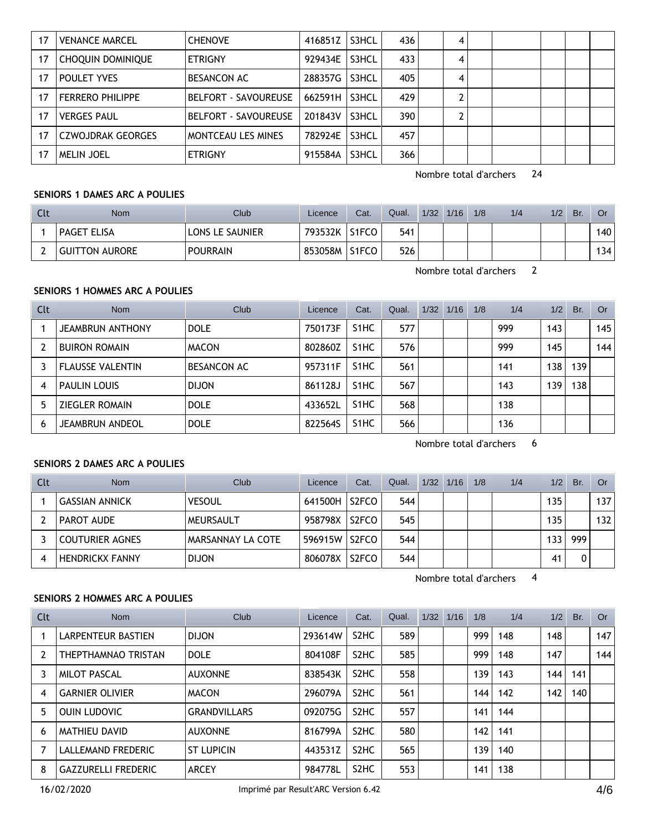| 17 | <b>VENANCE MARCEL</b>    | <b>CHENOVE</b>              | 416851Z | S3HCL | 436 | 4 |  |  |
|----|--------------------------|-----------------------------|---------|-------|-----|---|--|--|
| 17 | CHOQUIN DOMINIQUE        | <b>ETRIGNY</b>              | 929434E | S3HCL | 433 |   |  |  |
| 17 | POULET YVES              | <b>BESANCON AC</b>          | 288357G | S3HCL | 405 | 4 |  |  |
| 17 | <b>FERRERO PHILIPPE</b>  | <b>BELFORT - SAVOUREUSE</b> | 662591H | S3HCL | 429 |   |  |  |
| 17 | <b>VERGES PAUL</b>       | <b>BELFORT - SAVOUREUSE</b> | 201843V | S3HCL | 390 |   |  |  |
| 17 | <b>CZWOJDRAK GEORGES</b> | MONTCEAU LES MINES          | 782924E | S3HCL | 457 |   |  |  |
| 17 | <b>MELIN JOEL</b>        | <b>ETRIGNY</b>              | 915584A | S3HCL | 366 |   |  |  |

#### **SENIORS 1 DAMES ARC A POULIES**

| Clt | Nom                   | Club            | Licence | Cat.               | Qual. | 1/32 | 1/16 | 1/8 | 1/4 | 1/2 | Br. | 0r  |
|-----|-----------------------|-----------------|---------|--------------------|-------|------|------|-----|-----|-----|-----|-----|
|     | <b>PAGET ELISA</b>    | LONS LE SAUNIER | 793532K | S <sub>1</sub> FCO | 541   |      |      |     |     |     |     | 140 |
| ∽   | <b>GUITTON AURORE</b> | <b>POURRAIN</b> | 853058M | S <sub>1</sub> FCO | 526   |      |      |     |     |     |     | 134 |

Nombre total d'archers 2

### **SENIORS 1 HOMMES ARC A POULIES**

| Clt | <b>Nom</b>              | Club               | Licence | Cat.              | Qual. | 1/32 | 1/16 | 1/8 | 1/4 | 1/2 | Br. | Or  |
|-----|-------------------------|--------------------|---------|-------------------|-------|------|------|-----|-----|-----|-----|-----|
|     | <b>JEAMBRUN ANTHONY</b> | <b>DOLE</b>        | 750173F | S <sub>1</sub> HC | 577   |      |      |     | 999 | 143 |     | 145 |
|     | <b>BUIRON ROMAIN</b>    | <b>MACON</b>       | 802860Z | S <sub>1</sub> HC | 576   |      |      |     | 999 | 145 |     | 144 |
|     | <b>FLAUSSE VALENTIN</b> | <b>BESANCON AC</b> | 957311F | S <sub>1</sub> HC | 561   |      |      |     | 141 | 138 | 139 |     |
| 4   | <b>PAULIN LOUIS</b>     | <b>DIJON</b>       | 861128J | S <sub>1</sub> HC | 567   |      |      |     | 143 | 139 | 138 |     |
| 5   | <b>ZIEGLER ROMAIN</b>   | <b>DOLE</b>        | 433652L | S <sub>1</sub> HC | 568   |      |      |     | 138 |     |     |     |
| 6   | JEAMBRUN ANDEOL         | <b>DOLE</b>        | 822564S | S <sub>1</sub> HC | 566   |      |      |     | 136 |     |     |     |

Nombre total d'archers 6

### **SENIORS 2 DAMES ARC A POULIES**

| Clt | <b>Nom</b>             | Club                     | Licence | Cat.               | Qual. | 1/32 | 1/16 | 1/8 | 1/4 | 1/2 | Br. | Or  |
|-----|------------------------|--------------------------|---------|--------------------|-------|------|------|-----|-----|-----|-----|-----|
|     | <b>GASSIAN ANNICK</b>  | <b>VESOUL</b>            | 641500H | S2FCO              | 544   |      |      |     |     | 135 |     | 137 |
|     | PAROT AUDE             | MEURSAULT                | 958798X | S2FCO              | 545   |      |      |     |     | 135 |     | 132 |
|     | <b>COUTURIER AGNES</b> | <b>MARSANNAY LA COTE</b> | 596915W | S2FCO              | 544   |      |      |     |     | 133 | 999 |     |
|     | <b>HENDRICKX FANNY</b> | <b>DIJON</b>             | 806078X | S <sub>2</sub> FCO | 544   |      |      |     |     | 41  |     |     |

Nombre total d'archers 4

## **SENIORS 2 HOMMES ARC A POULIES**

| Clt | <b>Nom</b>                 | Club                | Licence | Cat.                          | Qual. | 1/32 | 1/16 | 1/8 | 1/4 | 1/2 | Br. | <b>Or</b> |
|-----|----------------------------|---------------------|---------|-------------------------------|-------|------|------|-----|-----|-----|-----|-----------|
|     | LARPENTEUR BASTIEN         | <b>DIJON</b>        | 293614W | S <sub>2</sub> HC             | 589   |      |      | 999 | 148 | 148 |     | 147       |
|     | THEPTHAMNAO TRISTAN        | <b>DOLE</b>         | 804108F | S <sub>2</sub> HC             | 585   |      |      | 999 | 148 | 147 |     | 144       |
| 3   | <b>MILOT PASCAL</b>        | <b>AUXONNE</b>      | 838543K | S <sub>2</sub> HC             | 558   |      |      | 139 | 143 | 144 | 141 |           |
| 4   | <b>GARNIER OLIVIER</b>     | <b>MACON</b>        | 296079A | S <sub>2</sub> H <sub>C</sub> | 561   |      |      | 144 | 142 | 142 | 140 |           |
| 5   | <b>OUIN LUDOVIC</b>        | <b>GRANDVILLARS</b> | 092075G | S <sub>2</sub> HC             | 557   |      |      | 141 | 144 |     |     |           |
| 6   | MATHIEU DAVID              | <b>AUXONNE</b>      | 816799A | S <sub>2</sub> HC             | 580   |      |      | 142 | 141 |     |     |           |
|     | LALLEMAND FREDERIC         | <b>ST LUPICIN</b>   | 443531Z | S <sub>2</sub> HC             | 565   |      |      | 139 | 140 |     |     |           |
| 8   | <b>GAZZURELLI FREDERIC</b> | <b>ARCEY</b>        | 984778L | S <sub>2</sub> HC             | 553   |      |      | 141 | 138 |     |     |           |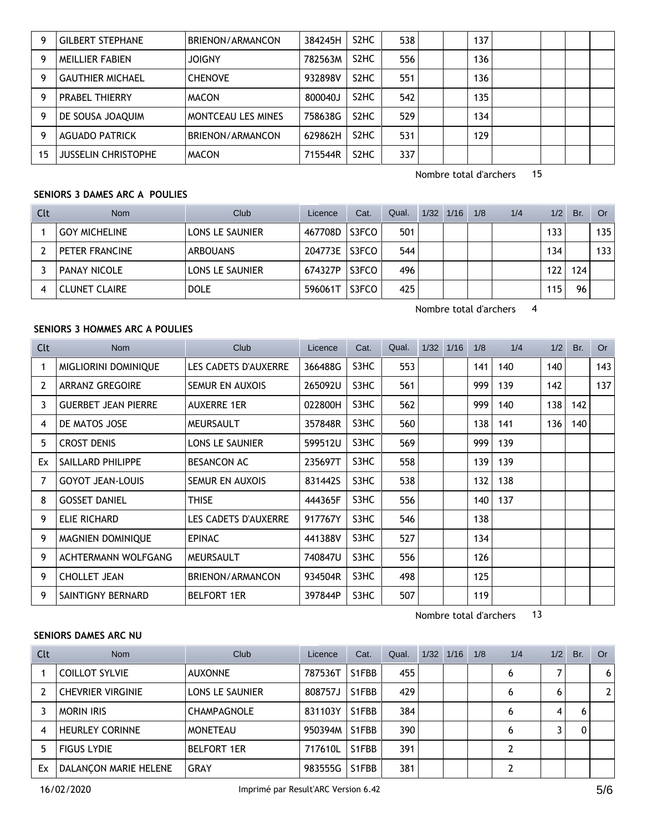| 9  | <b>GILBERT STEPHANE</b> | BRIENON/ARMANCON          | 384245H | S <sub>2</sub> HC             | 538 | 137 |  |  |
|----|-------------------------|---------------------------|---------|-------------------------------|-----|-----|--|--|
| 9  | <b>MEILLIER FABIEN</b>  | <b>JOIGNY</b>             | 782563M | S <sub>2</sub> H <sub>C</sub> | 556 | 136 |  |  |
| 9  | <b>GAUTHIER MICHAEL</b> | <b>CHENOVE</b>            | 932898V | S <sub>2</sub> HC             | 551 | 136 |  |  |
| 9  | <b>PRABEL THIERRY</b>   | <b>MACON</b>              | 800040J | S <sub>2</sub> HC             | 542 | 135 |  |  |
| 9  | DE SOUSA JOAQUIM        | <b>MONTCEAU LES MINES</b> | 758638G | S <sub>2</sub> HC             | 529 | 134 |  |  |
| Q  | <b>AGUADO PATRICK</b>   | BRIENON/ARMANCON          | 629862H | S <sub>2</sub> HC             | 531 | 129 |  |  |
| 15 | JUSSELIN CHRISTOPHE     | <b>MACON</b>              | 715544R | S <sub>2</sub> HC             | 337 |     |  |  |

### **SENIORS 3 DAMES ARC A POULIES**

| Clt | <b>Nom</b>           | Club                   | Licence | Cat.  | Qual. | 1/32 | 1/16 | 1/8 | 1/4 | 1/2 | Br. | Or .             |
|-----|----------------------|------------------------|---------|-------|-------|------|------|-----|-----|-----|-----|------------------|
|     | <b>GOY MICHELINE</b> | LONS LE SAUNIER        | 467708D | S3FCO | 501   |      |      |     |     | 133 |     | 135              |
|     | PETER FRANCINE       | <b>ARBOUANS</b>        | 204773E | S3FCO | 544   |      |      |     |     | 134 |     | 133 <sub>1</sub> |
|     | <b>PANAY NICOLE</b>  | <b>LONS LE SAUNIER</b> | 674327P | S3FCO | 496   |      |      |     |     | 122 | 124 |                  |
| 4   | <b>CLUNET CLAIRE</b> | <b>DOLE</b>            | 596061T | S3FCO | 425   |      |      |     |     | 115 | 96  |                  |

Nombre total d'archers 4

#### **SENIORS 3 HOMMES ARC A POULIES**

| Clt            | <b>Nom</b>                 | Club                   | Licence | Cat. | Qual. | 1/32 1/16 | 1/8 | 1/4 |     | $1/2$ Br. | <b>Or</b> |
|----------------|----------------------------|------------------------|---------|------|-------|-----------|-----|-----|-----|-----------|-----------|
| 1              | MIGLIORINI DOMINIQUE       | LES CADETS D'AUXERRE   | 366488G | S3HC | 553   |           | 141 | 140 | 140 |           | 143       |
| $\overline{2}$ | <b>ARRANZ GREGOIRE</b>     | <b>SEMUR EN AUXOIS</b> | 265092U | S3HC | 561   |           | 999 | 139 | 142 |           | 137       |
| 3              | <b>GUERBET JEAN PIERRE</b> | <b>AUXERRE 1ER</b>     | 022800H | S3HC | 562   |           | 999 | 140 | 138 | 142       |           |
| 4              | DE MATOS JOSE              | MEURSAULT              | 357848R | S3HC | 560   |           | 138 | 141 | 136 | 140       |           |
| 5              | <b>CROST DENIS</b>         | LONS LE SAUNIER        | 599512U | S3HC | 569   |           | 999 | 139 |     |           |           |
| Ex             | SAILLARD PHILIPPE          | <b>BESANCON AC</b>     | 235697T | S3HC | 558   |           | 139 | 139 |     |           |           |
| 7              | <b>GOYOT JEAN-LOUIS</b>    | <b>SEMUR EN AUXOIS</b> | 831442S | S3HC | 538   |           | 132 | 138 |     |           |           |
| 8              | <b>GOSSET DANIEL</b>       | THISE                  | 444365F | S3HC | 556   |           | 140 | 137 |     |           |           |
| 9              | ELIE RICHARD               | LES CADETS D'AUXERRE   | 917767Y | S3HC | 546   |           | 138 |     |     |           |           |
| 9              | MAGNIEN DOMINIQUE          | <b>EPINAC</b>          | 441388V | S3HC | 527   |           | 134 |     |     |           |           |
| 9              | ACHTERMANN WOLFGANG        | MEURSAULT              | 740847U | S3HC | 556   |           | 126 |     |     |           |           |
| 9              | <b>CHOLLET JEAN</b>        | BRIENON/ARMANCON       | 934504R | S3HC | 498   |           | 125 |     |     |           |           |
| 9              | SAINTIGNY BERNARD          | <b>BELFORT 1ER</b>     | 397844P | S3HC | 507   |           | 119 |     |     |           |           |

Nombre total d'archers 13

#### **SENIORS DAMES ARC NU**

| Clt | <b>Nom</b>               | Club                   | Licence | Cat.  | Qual. | 1/32 | 1/16 | 1/8 | 1/4 | 1/2 | Br. | Or           |
|-----|--------------------------|------------------------|---------|-------|-------|------|------|-----|-----|-----|-----|--------------|
|     | <b>COILLOT SYLVIE</b>    | <b>AUXONNE</b>         | 787536T | S1FBB | 455   |      |      |     | 6   |     |     | 6            |
|     | <b>CHEVRIER VIRGINIE</b> | <b>LONS LE SAUNIER</b> | 808757J | S1FBB | 429   |      |      |     | 6   | 6   |     | $\mathbf{2}$ |
|     | <b>MORIN IRIS</b>        | <b>CHAMPAGNOLE</b>     | 831103Y | S1FBB | 384   |      |      |     | 6   | 4   |     |              |
|     | <b>HEURLEY CORINNE</b>   | <b>MONETEAU</b>        | 950394M | S1FBB | 390   |      |      |     | 6   |     |     |              |
|     | <b>FIGUS LYDIE</b>       | <b>BELFORT 1ER</b>     | 717610L | S1FBB | 391   |      |      |     |     |     |     |              |
| Ex  | DALANCON MARIE HELENE    | <b>GRAY</b>            | 983555G | S1FBB | 381   |      |      |     |     |     |     |              |